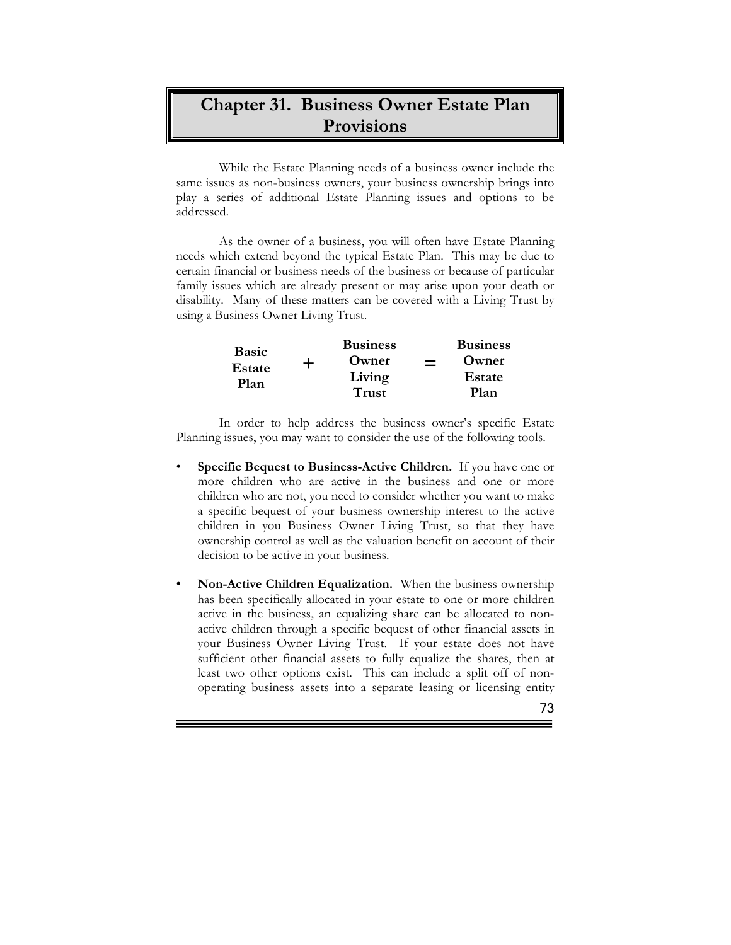## **Chapter 31. Business Owner Estate Plan Provisions**

While the Estate Planning needs of a business owner include the same issues as non-business owners, your business ownership brings into play a series of additional Estate Planning issues and options to be addressed.

As the owner of a business, you will often have Estate Planning needs which extend beyond the typical Estate Plan. This may be due to certain financial or business needs of the business or because of particular family issues which are already present or may arise upon your death or disability. Many of these matters can be covered with a Living Trust by using a Business Owner Living Trust.

| <b>Basic</b><br>Estate<br>Plan |   | <b>Business</b> | <b>Business</b> |
|--------------------------------|---|-----------------|-----------------|
|                                | ┿ | Owner           | Owner           |
|                                |   | Living          | Estate          |
|                                |   | <b>Trust</b>    | Plan            |

In order to help address the business owner's specific Estate Planning issues, you may want to consider the use of the following tools.

- **Specific Bequest to Business-Active Children.** If you have one or more children who are active in the business and one or more children who are not, you need to consider whether you want to make a specific bequest of your business ownership interest to the active children in you Business Owner Living Trust, so that they have ownership control as well as the valuation benefit on account of their decision to be active in your business.
- **Non-Active Children Equalization.** When the business ownership has been specifically allocated in your estate to one or more children active in the business, an equalizing share can be allocated to nonactive children through a specific bequest of other financial assets in your Business Owner Living Trust. If your estate does not have sufficient other financial assets to fully equalize the shares, then at least two other options exist. This can include a split off of nonoperating business assets into a separate leasing or licensing entity

Ē

73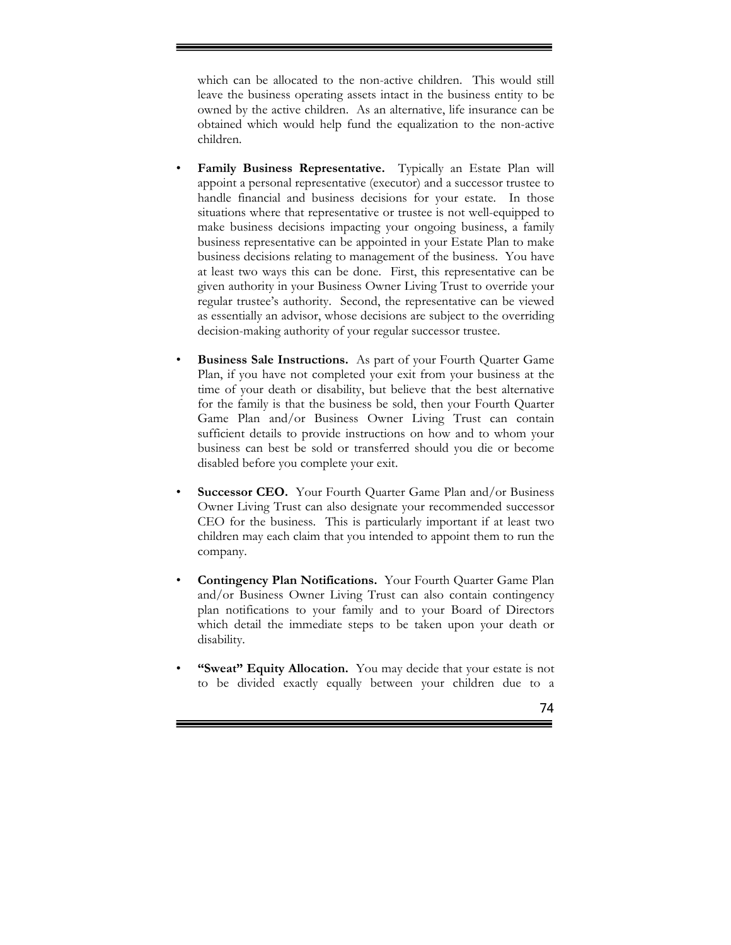which can be allocated to the non-active children. This would still leave the business operating assets intact in the business entity to be owned by the active children. As an alternative, life insurance can be obtained which would help fund the equalization to the non-active children.

Ē

- **Family Business Representative.** Typically an Estate Plan will appoint a personal representative (executor) and a successor trustee to handle financial and business decisions for your estate. In those situations where that representative or trustee is not well-equipped to make business decisions impacting your ongoing business, a family business representative can be appointed in your Estate Plan to make business decisions relating to management of the business. You have at least two ways this can be done. First, this representative can be given authority in your Business Owner Living Trust to override your regular trustee's authority. Second, the representative can be viewed as essentially an advisor, whose decisions are subject to the overriding decision-making authority of your regular successor trustee.
- **Business Sale Instructions.** As part of your Fourth Quarter Game Plan, if you have not completed your exit from your business at the time of your death or disability, but believe that the best alternative for the family is that the business be sold, then your Fourth Quarter Game Plan and/or Business Owner Living Trust can contain sufficient details to provide instructions on how and to whom your business can best be sold or transferred should you die or become disabled before you complete your exit.
- **Successor CEO.** Your Fourth Quarter Game Plan and/or Business Owner Living Trust can also designate your recommended successor CEO for the business. This is particularly important if at least two children may each claim that you intended to appoint them to run the company.
- **Contingency Plan Notifications.** Your Fourth Quarter Game Plan and/or Business Owner Living Trust can also contain contingency plan notifications to your family and to your Board of Directors which detail the immediate steps to be taken upon your death or disability.
- "Sweat" Equity Allocation. You may decide that your estate is not to be divided exactly equally between your children due to a

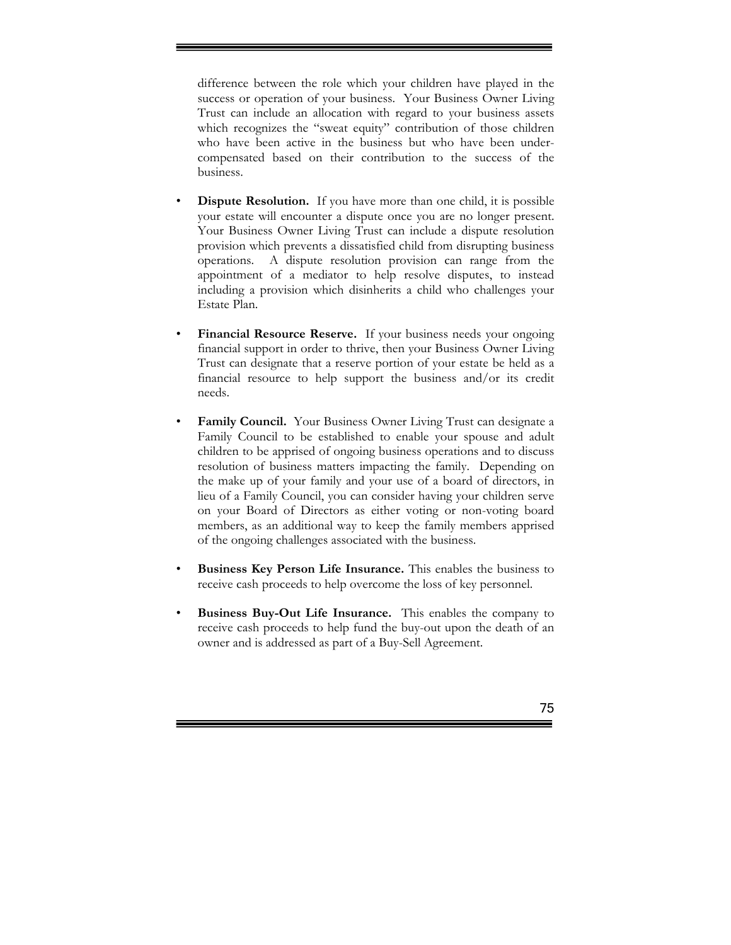difference between the role which your children have played in the success or operation of your business. Your Business Owner Living Trust can include an allocation with regard to your business assets which recognizes the "sweat equity" contribution of those children who have been active in the business but who have been undercompensated based on their contribution to the success of the business.

- **Dispute Resolution.** If you have more than one child, it is possible your estate will encounter a dispute once you are no longer present. Your Business Owner Living Trust can include a dispute resolution provision which prevents a dissatisfied child from disrupting business operations. A dispute resolution provision can range from the appointment of a mediator to help resolve disputes, to instead including a provision which disinherits a child who challenges your Estate Plan.
- Financial Resource Reserve. If your business needs your ongoing financial support in order to thrive, then your Business Owner Living Trust can designate that a reserve portion of your estate be held as a financial resource to help support the business and/or its credit needs.
- **Family Council.** Your Business Owner Living Trust can designate a Family Council to be established to enable your spouse and adult children to be apprised of ongoing business operations and to discuss resolution of business matters impacting the family. Depending on the make up of your family and your use of a board of directors, in lieu of a Family Council, you can consider having your children serve on your Board of Directors as either voting or non-voting board members, as an additional way to keep the family members apprised of the ongoing challenges associated with the business.
- **Business Key Person Life Insurance.** This enables the business to receive cash proceeds to help overcome the loss of key personnel.
- **Business Buy-Out Life Insurance.** This enables the company to receive cash proceeds to help fund the buy-out upon the death of an owner and is addressed as part of a Buy-Sell Agreement.